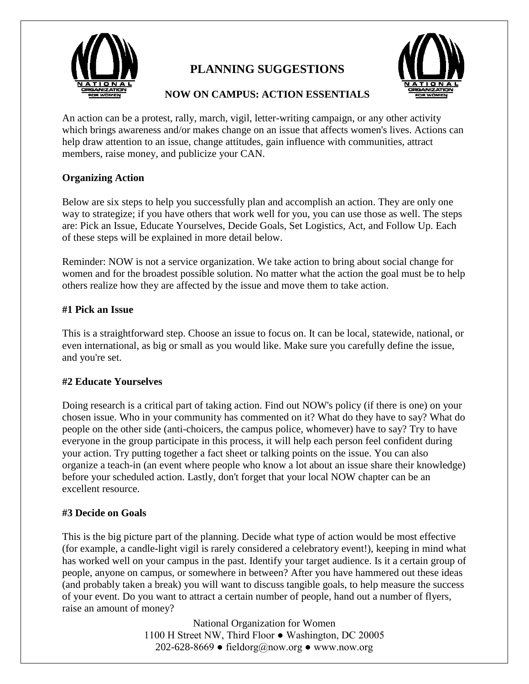

# **PLANNING SUGGESTIONS**



# **NOW ON CAMPUS: ACTION ESSENTIALS**

An action can be a protest, rally, march, vigil, letter-writing campaign, or any other activity which brings awareness and/or makes change on an issue that affects women's lives. Actions can help draw attention to an issue, change attitudes, gain influence with communities, attract members, raise money, and publicize your CAN.

## **Organizing Action**

Below are six steps to help you successfully plan and accomplish an action. They are only one way to strategize; if you have others that work well for you, you can use those as well. The steps are: Pick an Issue, Educate Yourselves, Decide Goals, Set Logistics, Act, and Follow Up. Each of these steps will be explained in more detail below.

Reminder: NOW is not a service organization. We take action to bring about social change for women and for the broadest possible solution. No matter what the action the goal must be to help others realize how they are affected by the issue and move them to take action.

#### **#1 Pick an Issue**

This is a straightforward step. Choose an issue to focus on. It can be local, statewide, national, or even international, as big or small as you would like. Make sure you carefully define the issue, and you're set.

## **#2 Educate Yourselves**

Doing research is a critical part of taking action. Find out NOW's policy (if there is one) on your chosen issue. Who in your community has commented on it? What do they have to say? What do people on the other side (anti-choicers, the campus police, whomever) have to say? Try to have everyone in the group participate in this process, it will help each person feel confident during your action. Try putting together a fact sheet or talking points on the issue. You can also organize a teach-in (an event where people who know a lot about an issue share their knowledge) before your scheduled action. Lastly, don't forget that your local NOW chapter can be an excellent resource.

## **#3 Decide on Goals**

This is the big picture part of the planning. Decide what type of action would be most effective (for example, a candle-light vigil is rarely considered a celebratory event!), keeping in mind what has worked well on your campus in the past. Identify your target audience. Is it a certain group of people, anyone on campus, or somewhere in between? After you have hammered out these ideas (and probably taken a break) you will want to discuss tangible goals, to help measure the success of your event. Do you want to attract a certain number of people, hand out a number of flyers, raise an amount of money?

> National Organization for Women 1100 H Street NW, Third Floor ● Washington, DC 20005 202-628-8669 • fieldorg@now.org • www.now.org